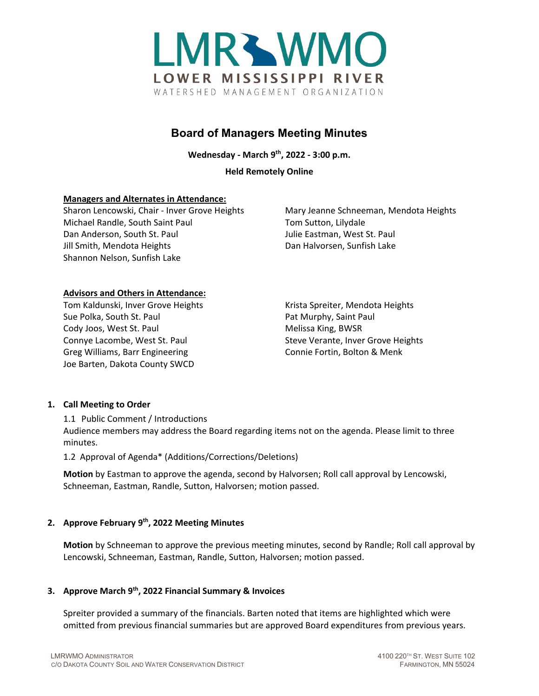

# **Board of Managers Meeting Minutes**

**Wednesday - March 9th, 2022 - 3:00 p.m.**

**Held Remotely Online**

# **Managers and Alternates in Attendance:**

Sharon Lencowski, Chair - Inver Grove Heights Mary Jeanne Schneeman, Mendota Heights Michael Randle, South Saint Paul Tom Sutton, Lilydale Dan Anderson, South St. Paul Julie Eastman, West St. Paul Jill Smith, Mendota Heights **Dan Halvorsen, Sunfish Lake** Shannon Nelson, Sunfish Lake

# **Advisors and Others in Attendance:**

Tom Kaldunski, Inver Grove Heights Krista Spreiter, Mendota Heights Sue Polka, South St. Paul **Pat Murphy, Saint Paul Pat Murphy**, Saint Paul Cody Joos, West St. Paul Melissa King, BWSR Connye Lacombe, West St. Paul Steve Verante, Inver Grove Heights Greg Williams, Barr Engineering The Connie Fortin, Bolton & Menk Joe Barten, Dakota County SWCD

# **1. Call Meeting to Order**

1.1 Public Comment / Introductions

Audience members may address the Board regarding items not on the agenda. Please limit to three minutes.

1.2 Approval of Agenda\* (Additions/Corrections/Deletions)

**Motion** by Eastman to approve the agenda, second by Halvorsen; Roll call approval by Lencowski, Schneeman, Eastman, Randle, Sutton, Halvorsen; motion passed.

# **2. Approve February 9th, 2022 Meeting Minutes**

**Motion** by Schneeman to approve the previous meeting minutes, second by Randle; Roll call approval by Lencowski, Schneeman, Eastman, Randle, Sutton, Halvorsen; motion passed.

# **3. Approve March 9th, 2022 Financial Summary & Invoices**

Spreiter provided a summary of the financials. Barten noted that items are highlighted which were omitted from previous financial summaries but are approved Board expenditures from previous years.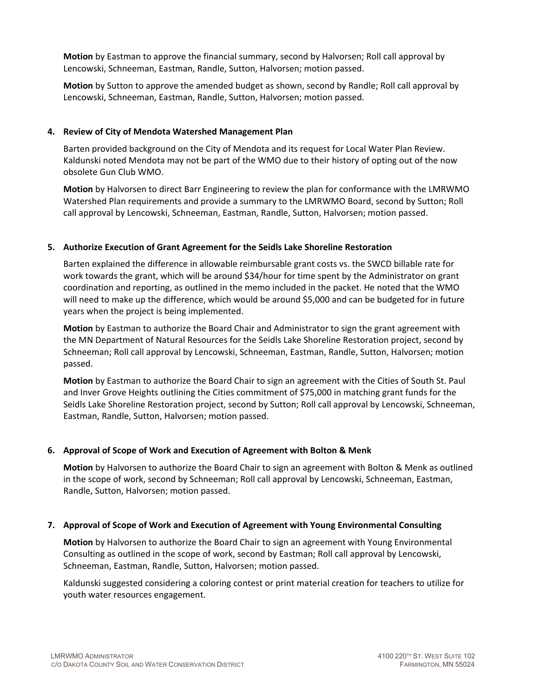**Motion** by Eastman to approve the financial summary, second by Halvorsen; Roll call approval by Lencowski, Schneeman, Eastman, Randle, Sutton, Halvorsen; motion passed.

**Motion** by Sutton to approve the amended budget as shown, second by Randle; Roll call approval by Lencowski, Schneeman, Eastman, Randle, Sutton, Halvorsen; motion passed.

## **4. Review of City of Mendota Watershed Management Plan**

Barten provided background on the City of Mendota and its request for Local Water Plan Review. Kaldunski noted Mendota may not be part of the WMO due to their history of opting out of the now obsolete Gun Club WMO.

**Motion** by Halvorsen to direct Barr Engineering to review the plan for conformance with the LMRWMO Watershed Plan requirements and provide a summary to the LMRWMO Board, second by Sutton; Roll call approval by Lencowski, Schneeman, Eastman, Randle, Sutton, Halvorsen; motion passed.

# **5. Authorize Execution of Grant Agreement for the Seidls Lake Shoreline Restoration**

Barten explained the difference in allowable reimbursable grant costs vs. the SWCD billable rate for work towards the grant, which will be around \$34/hour for time spent by the Administrator on grant coordination and reporting, as outlined in the memo included in the packet. He noted that the WMO will need to make up the difference, which would be around \$5,000 and can be budgeted for in future years when the project is being implemented.

**Motion** by Eastman to authorize the Board Chair and Administrator to sign the grant agreement with the MN Department of Natural Resources for the Seidls Lake Shoreline Restoration project, second by Schneeman; Roll call approval by Lencowski, Schneeman, Eastman, Randle, Sutton, Halvorsen; motion passed.

**Motion** by Eastman to authorize the Board Chair to sign an agreement with the Cities of South St. Paul and Inver Grove Heights outlining the Cities commitment of \$75,000 in matching grant funds for the Seidls Lake Shoreline Restoration project, second by Sutton; Roll call approval by Lencowski, Schneeman, Eastman, Randle, Sutton, Halvorsen; motion passed.

# **6. Approval of Scope of Work and Execution of Agreement with Bolton & Menk**

**Motion** by Halvorsen to authorize the Board Chair to sign an agreement with Bolton & Menk as outlined in the scope of work, second by Schneeman; Roll call approval by Lencowski, Schneeman, Eastman, Randle, Sutton, Halvorsen; motion passed.

# **7. Approval of Scope of Work and Execution of Agreement with Young Environmental Consulting**

**Motion** by Halvorsen to authorize the Board Chair to sign an agreement with Young Environmental Consulting as outlined in the scope of work, second by Eastman; Roll call approval by Lencowski, Schneeman, Eastman, Randle, Sutton, Halvorsen; motion passed.

Kaldunski suggested considering a coloring contest or print material creation for teachers to utilize for youth water resources engagement.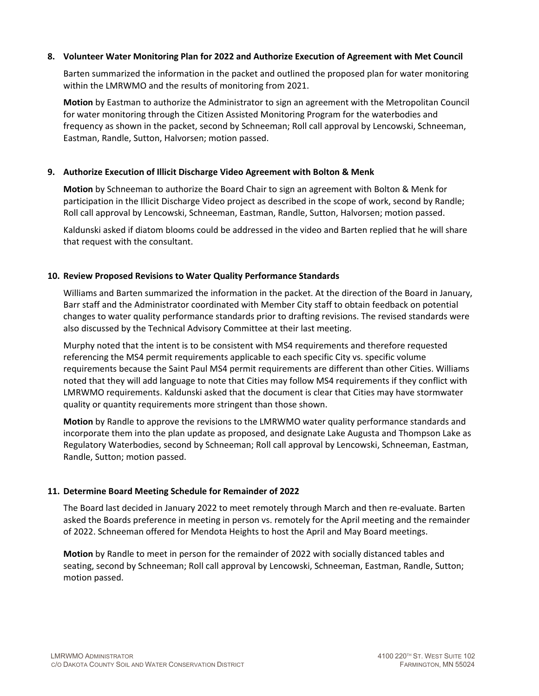#### **8. Volunteer Water Monitoring Plan for 2022 and Authorize Execution of Agreement with Met Council**

Barten summarized the information in the packet and outlined the proposed plan for water monitoring within the LMRWMO and the results of monitoring from 2021.

**Motion** by Eastman to authorize the Administrator to sign an agreement with the Metropolitan Council for water monitoring through the Citizen Assisted Monitoring Program for the waterbodies and frequency as shown in the packet, second by Schneeman; Roll call approval by Lencowski, Schneeman, Eastman, Randle, Sutton, Halvorsen; motion passed.

### **9. Authorize Execution of Illicit Discharge Video Agreement with Bolton & Menk**

**Motion** by Schneeman to authorize the Board Chair to sign an agreement with Bolton & Menk for participation in the Illicit Discharge Video project as described in the scope of work, second by Randle; Roll call approval by Lencowski, Schneeman, Eastman, Randle, Sutton, Halvorsen; motion passed.

Kaldunski asked if diatom blooms could be addressed in the video and Barten replied that he will share that request with the consultant.

#### **10. Review Proposed Revisions to Water Quality Performance Standards**

Williams and Barten summarized the information in the packet. At the direction of the Board in January, Barr staff and the Administrator coordinated with Member City staff to obtain feedback on potential changes to water quality performance standards prior to drafting revisions. The revised standards were also discussed by the Technical Advisory Committee at their last meeting.

Murphy noted that the intent is to be consistent with MS4 requirements and therefore requested referencing the MS4 permit requirements applicable to each specific City vs. specific volume requirements because the Saint Paul MS4 permit requirements are different than other Cities. Williams noted that they will add language to note that Cities may follow MS4 requirements if they conflict with LMRWMO requirements. Kaldunski asked that the document is clear that Cities may have stormwater quality or quantity requirements more stringent than those shown.

**Motion** by Randle to approve the revisions to the LMRWMO water quality performance standards and incorporate them into the plan update as proposed, and designate Lake Augusta and Thompson Lake as Regulatory Waterbodies, second by Schneeman; Roll call approval by Lencowski, Schneeman, Eastman, Randle, Sutton; motion passed.

#### **11. Determine Board Meeting Schedule for Remainder of 2022**

The Board last decided in January 2022 to meet remotely through March and then re-evaluate. Barten asked the Boards preference in meeting in person vs. remotely for the April meeting and the remainder of 2022. Schneeman offered for Mendota Heights to host the April and May Board meetings.

**Motion** by Randle to meet in person for the remainder of 2022 with socially distanced tables and seating, second by Schneeman; Roll call approval by Lencowski, Schneeman, Eastman, Randle, Sutton; motion passed.